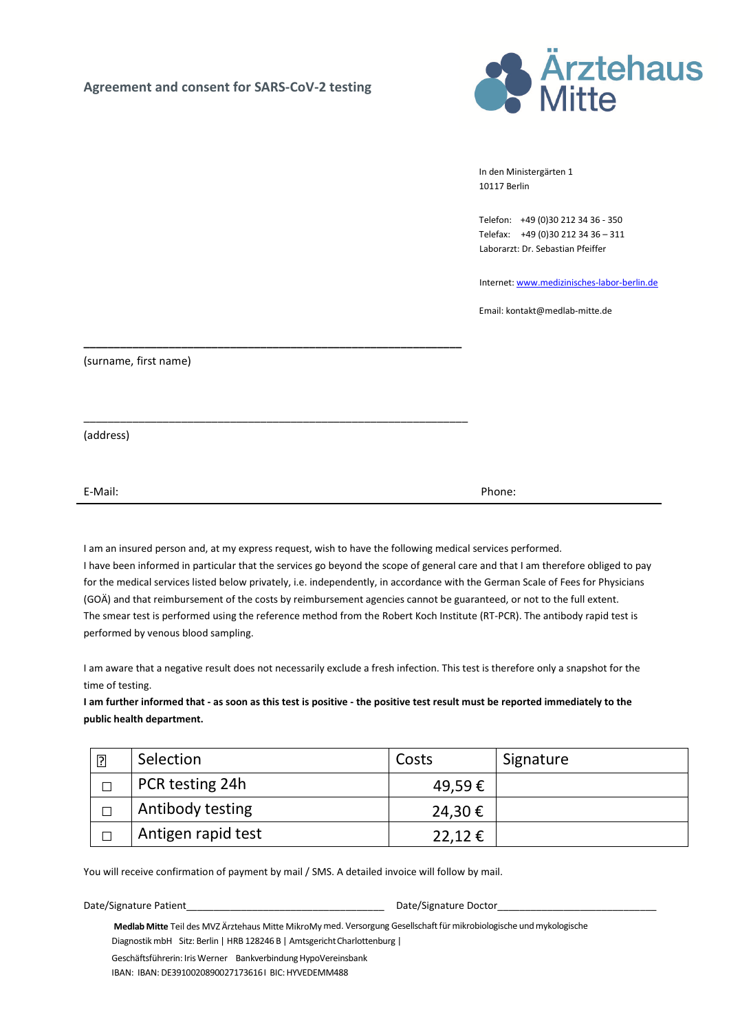## Agreement and consent for SARS-CoV-2 testing



In den Ministergärten 1 10117 Berlin

Telefon: +49 (0)30 212 34 36 - 350 Telefax: +49 (0)30 212 34 36 – 311 Laborarzt: Dr. Sebastian Pfeiffer

Internet: www.medizinisches-labor-berlin.de

Email: kontakt@medlab-mitte.de

\_\_\_\_\_\_\_\_\_\_\_\_\_\_\_\_\_\_\_\_\_\_\_\_\_\_\_\_\_\_\_\_\_\_\_\_\_\_\_\_\_\_\_\_\_\_\_\_\_\_\_\_\_\_\_\_\_\_\_\_\_\_ (surname, first name)

(address)

E-Mail: Phone:

I am an insured person and, at my express request, wish to have the following medical services performed. I have been informed in particular that the services go beyond the scope of general care and that I am therefore obliged to pay for the medical services listed below privately, i.e. independently, in accordance with the German Scale of Fees for Physicians (GOÄ) and that reimbursement of the costs by reimbursement agencies cannot be guaranteed, or not to the full extent. The smear test is performed using the reference method from the Robert Koch Institute (RT-PCR). The antibody rapid test is performed by venous blood sampling.

I am aware that a negative result does not necessarily exclude a fresh infection. This test is therefore only a snapshot for the time of testing.

I am further informed that - as soon as this test is positive - the positive test result must be reported immediately to the public health department.

| $\overline{?}$ | Selection          | Costs          | Signature |
|----------------|--------------------|----------------|-----------|
| П              | PCR testing 24h    | 49,59€         |           |
| П              | Antibody testing   | 24,30€         |           |
| П              | Antigen rapid test | $22,12 \notin$ |           |

You will receive confirmation of payment by mail / SMS. A detailed invoice will follow by mail.

\_\_\_\_\_\_\_\_\_\_\_\_\_\_\_\_\_\_\_\_\_\_\_\_\_\_\_\_\_\_\_\_\_\_\_\_\_\_\_\_\_\_\_\_\_\_\_\_\_\_\_\_\_\_\_\_\_\_\_\_\_\_\_

Date/Signature Patient\_\_\_\_\_\_\_\_\_\_\_\_\_\_\_\_\_\_\_\_\_\_\_\_\_\_\_\_\_\_\_\_\_\_\_\_ Date/Signature Doctor\_\_\_\_\_\_\_\_\_\_\_\_\_\_\_\_\_\_\_\_\_\_\_\_\_\_\_\_\_

Medlab Mitte Teil des MVZ Ärztehaus Mitte MikroMy med. Versorgung Gesellschaft für mikrobiologische und mykologische Diagnostik mbH Sitz: Berlin | HRB 128246 B | Amtsgericht Charlottenburg | Geschäftsführerin: Iris Werner Bankverbindung HypoVereinsbank

IBAN: IBAN: DE3910020890027173616 I BIC: HYVEDEMM488